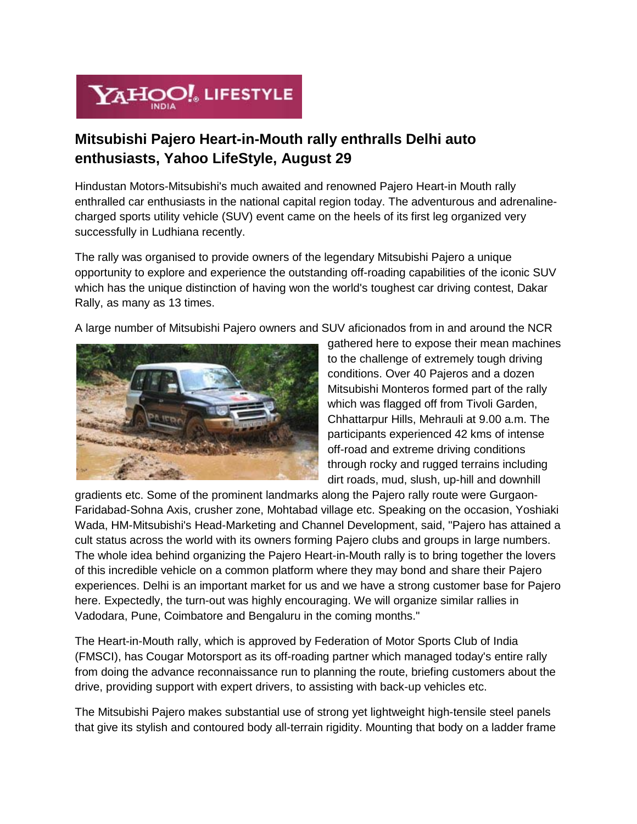

## **Mitsubishi Pajero Heart-in-Mouth rally enthralls Delhi auto enthusiasts, Yahoo LifeStyle, August 29**

Hindustan Motors-Mitsubishi's much awaited and renowned Pajero Heart-in Mouth rally enthralled car enthusiasts in the national capital region today. The adventurous and adrenalinecharged sports utility vehicle (SUV) event came on the heels of its first leg organized very successfully in Ludhiana recently.

The rally was organised to provide owners of the legendary Mitsubishi Pajero a unique opportunity to explore and experience the outstanding off-roading capabilities of the iconic SUV which has the unique distinction of having won the world's toughest car driving contest, Dakar Rally, as many as 13 times.

A large number of Mitsubishi Pajero owners and SUV aficionados from in and around the NCR



gathered here to expose their mean machines to the challenge of extremely tough driving conditions. Over 40 Pajeros and a dozen Mitsubishi Monteros formed part of the rally which was flagged off from Tivoli Garden, Chhattarpur Hills, Mehrauli at 9.00 a.m. The participants experienced 42 kms of intense off-road and extreme driving conditions through rocky and rugged terrains including dirt roads, mud, slush, up-hill and downhill

gradients etc. Some of the prominent landmarks along the Pajero rally route were Gurgaon-Faridabad-Sohna Axis, crusher zone, Mohtabad village etc. Speaking on the occasion, Yoshiaki Wada, HM-Mitsubishi's Head-Marketing and Channel Development, said, "Pajero has attained a cult status across the world with its owners forming Pajero clubs and groups in large numbers. The whole idea behind organizing the Pajero Heart-in-Mouth rally is to bring together the lovers of this incredible vehicle on a common platform where they may bond and share their Pajero experiences. Delhi is an important market for us and we have a strong customer base for Pajero here. Expectedly, the turn-out was highly encouraging. We will organize similar rallies in Vadodara, Pune, Coimbatore and Bengaluru in the coming months."

The Heart-in-Mouth rally, which is approved by Federation of Motor Sports Club of India (FMSCI), has Cougar Motorsport as its off-roading partner which managed today's entire rally from doing the advance reconnaissance run to planning the route, briefing customers about the drive, providing support with expert drivers, to assisting with back-up vehicles etc.

The Mitsubishi Pajero makes substantial use of strong yet lightweight high-tensile steel panels that give its stylish and contoured body all-terrain rigidity. Mounting that body on a ladder frame